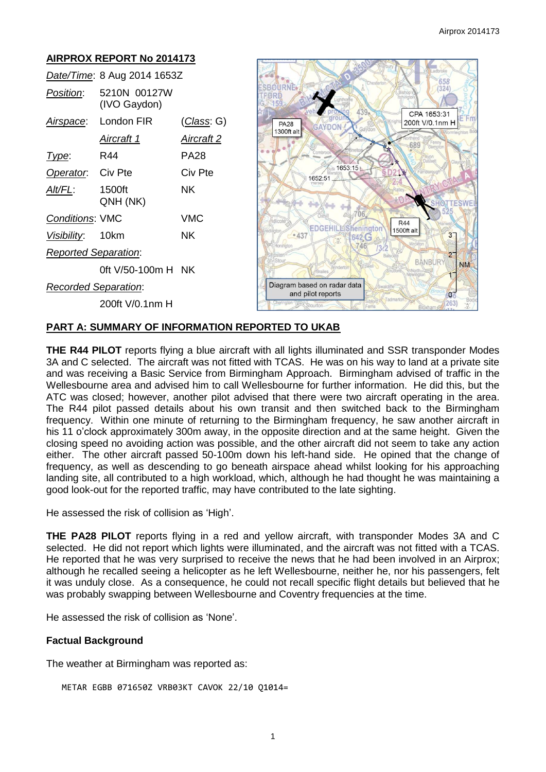#### **AIRPROX REPORT No 2014173** *Date/Time*: 8 Aug 2014 1653Z SBOURNE. 658  $(324)$ *Position*: 5210N 00127W ØRI (IVO Gaydon) CPA 1653:31 *Airspace*: London FIR (*Class*: G) **PA28** 200ft V/0.1nm H 1300ft alt *Aircraft 1 Aircraft 2* 689 *Type*: R44 PA28 1653:15 **Operator:** Civ Pte Civ Pte 1652:51 *Alt/FL*: 1500ft NK QNH (NK) *Conditions*: VMC VMC  $BAA$ **EDGEHILLSheningtor**  $1500<sup>ft</sup>$ alt *Visibility*: 10km NK  $\overline{3}$  $0A3$ 642 G 746 *Reported Separation*:  $\overline{2}$ **BANBUR NM** 0ft V/50-100m H NK *Recorded Separation*: Diagram based on radar data and pilot reports  $\alpha$ 200ft V/0.1nm H 263

## **PART A: SUMMARY OF INFORMATION REPORTED TO UKAB**

**THE R44 PILOT** reports flying a blue aircraft with all lights illuminated and SSR transponder Modes 3A and C selected. The aircraft was not fitted with TCAS. He was on his way to land at a private site and was receiving a Basic Service from Birmingham Approach. Birmingham advised of traffic in the Wellesbourne area and advised him to call Wellesbourne for further information. He did this, but the ATC was closed; however, another pilot advised that there were two aircraft operating in the area. The R44 pilot passed details about his own transit and then switched back to the Birmingham frequency. Within one minute of returning to the Birmingham frequency, he saw another aircraft in his 11 o'clock approximately 300m away, in the opposite direction and at the same height. Given the closing speed no avoiding action was possible, and the other aircraft did not seem to take any action either. The other aircraft passed 50-100m down his left-hand side. He opined that the change of frequency, as well as descending to go beneath airspace ahead whilst looking for his approaching landing site, all contributed to a high workload, which, although he had thought he was maintaining a good look-out for the reported traffic, may have contributed to the late sighting.

He assessed the risk of collision as 'High'.

**THE PA28 PILOT** reports flying in a red and yellow aircraft, with transponder Modes 3A and C selected. He did not report which lights were illuminated, and the aircraft was not fitted with a TCAS. He reported that he was very surprised to receive the news that he had been involved in an Airprox; although he recalled seeing a helicopter as he left Wellesbourne, neither he, nor his passengers, felt it was unduly close. As a consequence, he could not recall specific flight details but believed that he was probably swapping between Wellesbourne and Coventry frequencies at the time.

He assessed the risk of collision as 'None'.

## **Factual Background**

The weather at Birmingham was reported as:

METAR EGBB 071650Z VRB03KT CAVOK 22/10 Q1014=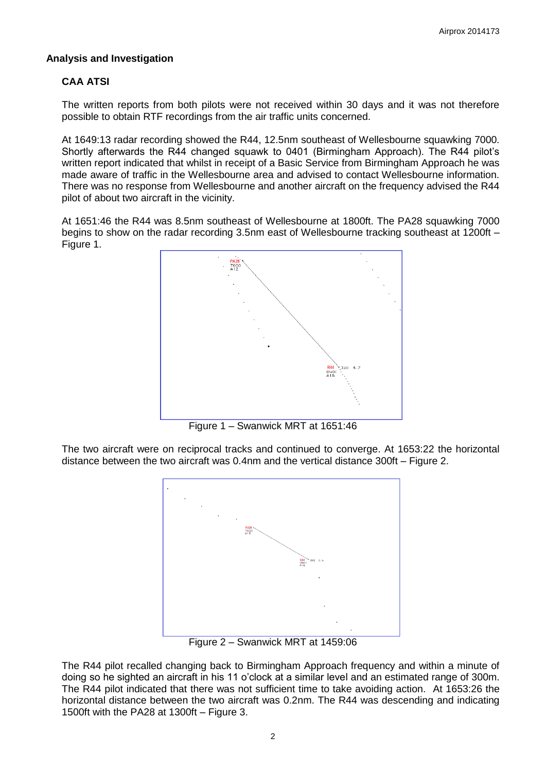# **Analysis and Investigation**

# **CAA ATSI**

The written reports from both pilots were not received within 30 days and it was not therefore possible to obtain RTF recordings from the air traffic units concerned.

At 1649:13 radar recording showed the R44, 12.5nm southeast of Wellesbourne squawking 7000. Shortly afterwards the R44 changed squawk to 0401 (Birmingham Approach). The R44 pilot's written report indicated that whilst in receipt of a Basic Service from Birmingham Approach he was made aware of traffic in the Wellesbourne area and advised to contact Wellesbourne information. There was no response from Wellesbourne and another aircraft on the frequency advised the R44 pilot of about two aircraft in the vicinity.

At 1651:46 the R44 was 8.5nm southeast of Wellesbourne at 1800ft. The PA28 squawking 7000 begins to show on the radar recording 3.5nm east of Wellesbourne tracking southeast at 1200ft – Figure 1.



Figure 1 – Swanwick MRT at 1651:46

The two aircraft were on reciprocal tracks and continued to converge. At 1653:22 the horizontal distance between the two aircraft was 0.4nm and the vertical distance 300ft – Figure 2.



Figure 2 – Swanwick MRT at 1459:06

The R44 pilot recalled changing back to Birmingham Approach frequency and within a minute of doing so he sighted an aircraft in his 11 o'clock at a similar level and an estimated range of 300m. The R44 pilot indicated that there was not sufficient time to take avoiding action. At 1653:26 the horizontal distance between the two aircraft was 0.2nm. The R44 was descending and indicating 1500ft with the PA28 at 1300ft – Figure 3.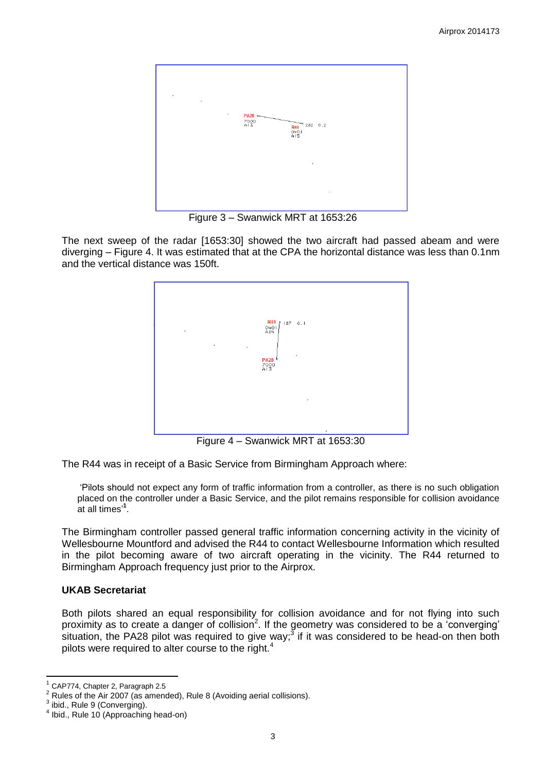

Figure 3 – Swanwick MRT at 1653:26

The next sweep of the radar [1653:30] showed the two aircraft had passed abeam and were diverging – Figure 4. It was estimated that at the CPA the horizontal distance was less than 0.1nm and the vertical distance was 150ft.



Figure 4 – Swanwick MRT at 1653:30

The R44 was in receipt of a Basic Service from Birmingham Approach where:

'Pilots should not expect any form of traffic information from a controller, as there is no such obligation placed on the controller under a Basic Service, and the pilot remains responsible for collision avoidance at all times' **1** .

The Birmingham controller passed general traffic information concerning activity in the vicinity of Wellesbourne Mountford and advised the R44 to contact Wellesbourne Information which resulted in the pilot becoming aware of two aircraft operating in the vicinity. The R44 returned to Birmingham Approach frequency just prior to the Airprox.

## **UKAB Secretariat**

Both pilots shared an equal responsibility for collision avoidance and for not flying into such proximity as to create a danger of collision<sup>2</sup>. If the geometry was considered to be a 'converging' situation, the PA28 pilot was required to give way;<sup>3</sup> if it was considered to be head-on then both pilots were required to alter course to the right.<sup>4</sup>

 $\overline{a}$ 

<sup>1</sup> CAP774, Chapter 2, Paragraph 2.5

<sup>2</sup> Rules of the Air 2007 (as amended), Rule 8 (Avoiding aerial collisions).

<sup>3</sup> ibid., Rule 9 (Converging).

<sup>4</sup> Ibid., Rule 10 (Approaching head-on)